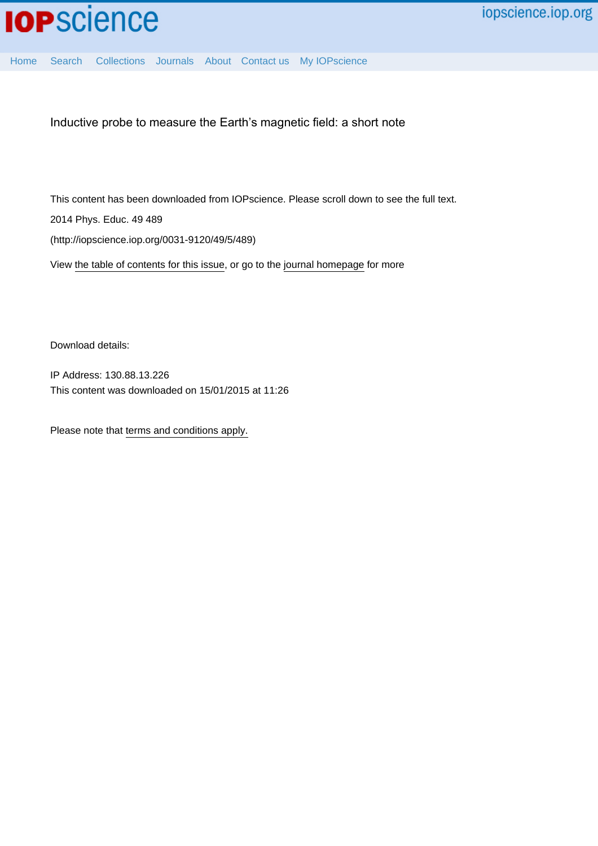

[Home](http://iopscience.iop.org/) [Search](http://iopscience.iop.org/search) [Collections](http://iopscience.iop.org/collections) [Journals](http://iopscience.iop.org/journals) [About](http://iopscience.iop.org/page/aboutioppublishing) [Contact us](http://iopscience.iop.org/contact) [My IOPscience](http://iopscience.iop.org/myiopscience)

Inductive probe to measure the Earth's magnetic field: a short note

This content has been downloaded from IOPscience. Please scroll down to see the full text. 2014 Phys. Educ. 49 489 (http://iopscience.iop.org/0031-9120/49/5/489)

View [the table of contents for this issue](http://iopscience.iop.org/0031-9120/49/5), or go to the [journal homepage](http://iopscience.iop.org/0031-9120) for more

Download details:

IP Address: 130.88.13.226 This content was downloaded on 15/01/2015 at 11:26

Please note that [terms and conditions apply.](iopscience.iop.org/page/terms)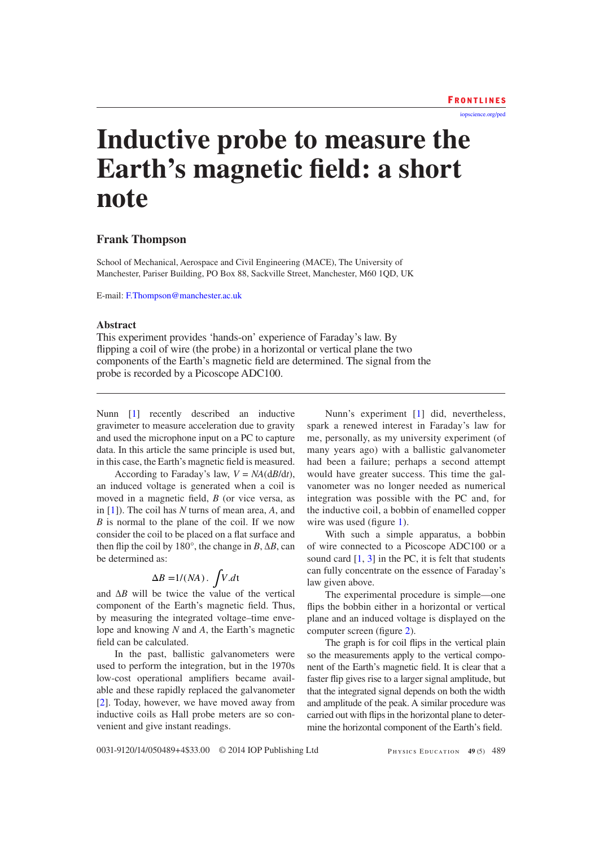[iopscience.org/ped](http://iopscience.org/ped)

# **Inductive probe to measure the Earth's magnetic field: a short note**

### **Frank Thompson**

School of Mechanical, Aerospace and Civil Engineering (MACE), The University of Manchester, Pariser Building, PO Box 88, Sackville Street, Manchester, M60 1QD, UK

E-mail: [F.Thompson@manchester.ac.uk](mailto:F.Thompson@manchester.ac.uk)

#### **Abstract**

This experiment provides 'hands-on' experience of Faraday's law. By flipping a coil of wire (the probe) in a horizontal or vertical plane the two components of the Earth's magnetic field are determined. The signal from the probe is recorded by a Picoscope ADC100.

Nunn [\[1\]](#page-4-0) recently described an inductive gravimeter to measure acceleration due to gravity and used the microphone input on a PC to capture data. In this article the same principle is used but, in this case, the Earth's magnetic field is measured.

According to Faraday's law,  $V = NA(\frac{dB}{dt})$ , an induced voltage is generated when a coil is moved in a magnetic field, *B* (or vice versa, as in [[1\]](#page-4-0)). The coil has *N* turns of mean area, *A*, and *B* is normal to the plane of the coil. If we now consider the coil to be placed on a flat surface and then flip the coil by  $180^\circ$ , the change in *B*,  $\Delta B$ , can be determined as:

$$
\Delta B = 1/(NA) \cdot \int V \, dt
$$

and Δ*B* will be twice the value of the vertical component of the Earth's magnetic field. Thus, by measuring the integrated voltage–time envelope and knowing *N* and *A*, the Earth's magnetic field can be calculated.

In the past, ballistic galvanometers were used to perform the integration, but in the 1970s low-cost operational amplifiers became available and these rapidly replaced the galvanometer [\[2](#page-4-1)]. Today, however, we have moved away from inductive coils as Hall probe meters are so convenient and give instant readings.

Nunn's experiment [[1\]](#page-4-0) did, nevertheless, spark a renewed interest in Faraday's law for me, personally, as my university experiment (of many years ago) with a ballistic galvanometer had been a failure; perhaps a second attempt would have greater success. This time the galvanometer was no longer needed as numerical integration was possible with the PC and, for the inductive coil, a bobbin of enamelled copper wire was used (figure [1\)](#page-2-0).

With such a simple apparatus, a bobbin of wire connected to a Picoscope ADC100 or a sound card  $[1, 3]$  $[1, 3]$  $[1, 3]$  $[1, 3]$  $[1, 3]$  in the PC, it is felt that students can fully concentrate on the essence of Faraday's law given above.

The experimental procedure is simple—one flips the bobbin either in a horizontal or vertical plane and an induced voltage is displayed on the computer screen (figure [2\)](#page-2-1).

The graph is for coil flips in the vertical plain so the measurements apply to the vertical component of the Earth's magnetic field. It is clear that a faster flip gives rise to a larger signal amplitude, but that the integrated signal depends on both the width and amplitude of the peak. A similar procedure was carried out with flips in the horizontal plane to determine the horizontal component of the Earth's field.

0031-9120/14/050489+4\$33.00 © 2014 IOP Publishing Ltd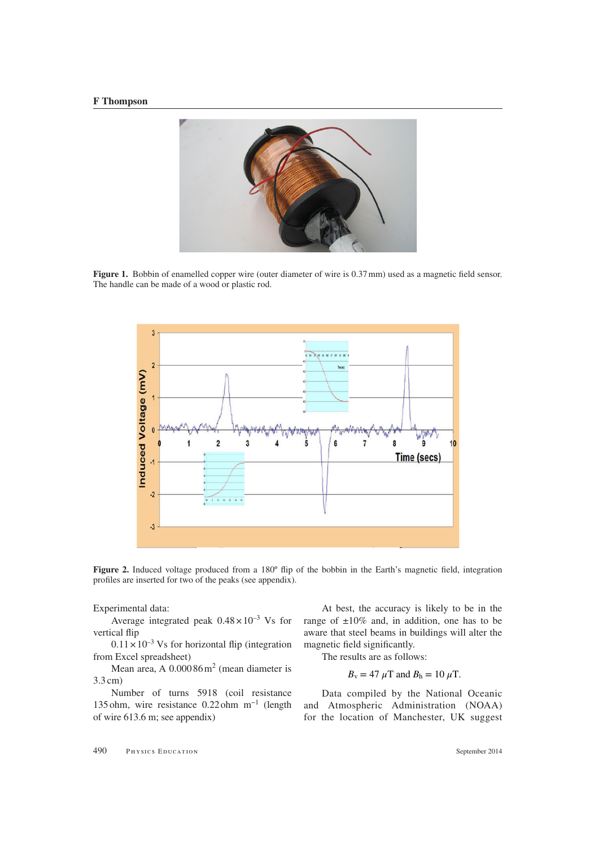#### **F Thompson**

<span id="page-2-0"></span>

**Figure 1.** Bobbin of enamelled copper wire (outer diameter of wire is 0.37 mm) used as a magnetic field sensor. The handle can be made of a wood or plastic rod.

<span id="page-2-1"></span>

**Figure 2.** Induced voltage produced from a 180<sup>°</sup> flip of the bobbin in the Earth's magnetic field, integration profiles are inserted for two of the peaks (see appendix).

Experimental data:

Average integrated peak  $0.48 \times 10^{-3}$  Vs for vertical flip

 $0.11 \times 10^{-3}$  Vs for horizontal flip (integration from Excel spreadsheet)

Mean area, A  $0.00086 \,\mathrm{m}^2$  (mean diameter is 3.3cm)

Number of turns 5918 (coil resistance 135ohm, wire resistance 0.22ohm m−1 (length of wire 613.6 m; see appendix)

At best, the accuracy is likely to be in the range of  $\pm 10\%$  and, in addition, one has to be aware that steel beams in buildings will alter the magnetic field significantly.

The results are as follows:

$$
B_{\rm v} = 47 \ \mu \mathrm{T}
$$
 and  $B_{\rm h} = 10 \ \mu \mathrm{T}$ .

Data compiled by the National Oceanic and Atmospheric Administration (NOAA) for the location of Manchester, UK suggest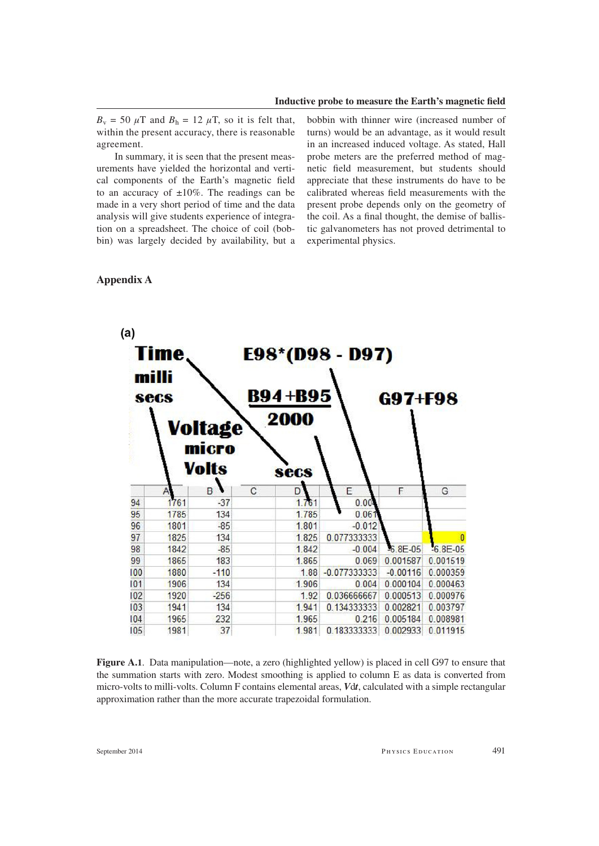$B_v = 50 \mu T$  and  $B_h = 12 \mu T$ , so it is felt that, within the present accuracy, there is reasonable agreement.

In summary, it is seen that the present measurements have yielded the horizontal and vertical components of the Earth's magnetic field to an accuracy of  $\pm 10\%$ . The readings can be made in a very short period of time and the data analysis will give students experience of integration on a spreadsheet. The choice of coil (bobbin) was largely decided by availability, but a bobbin with thinner wire (increased number of turns) would be an advantage, as it would result in an increased induced voltage. As stated, Hall probe meters are the preferred method of magnetic field measurement, but students should appreciate that these instruments do have to be calibrated whereas field measurements with the present probe depends only on the geometry of the coil. As a final thought, the demise of ballistic galvanometers has not proved detrimental to experimental physics.

## **Appendix A**



**Figure A.1**. Data manipulation—note, a zero (highlighted yellow) is placed in cell G97 to ensure that the summation starts with zero. Modest smoothing is applied to column E as data is converted from micro-volts to milli-volts. Column F contains elemental areas, *V*d*t*, calculated with a simple rectangular approximation rather than the more accurate trapezoidal formulation.